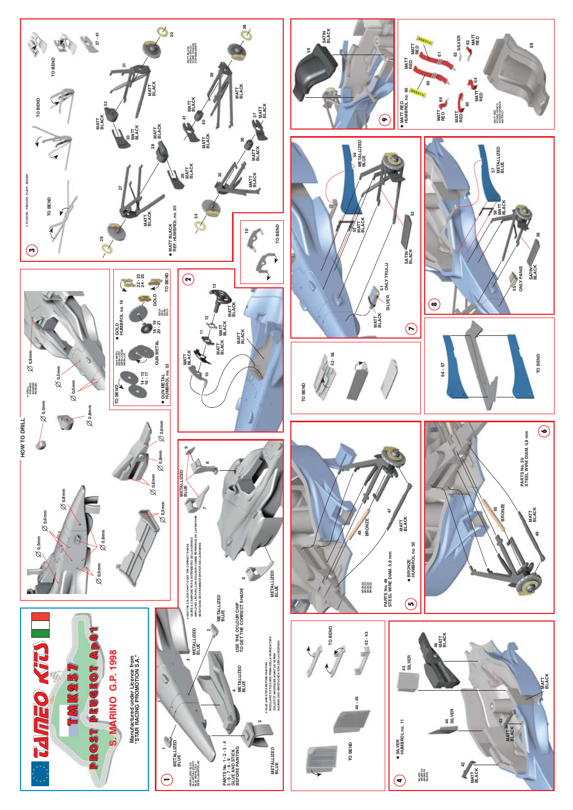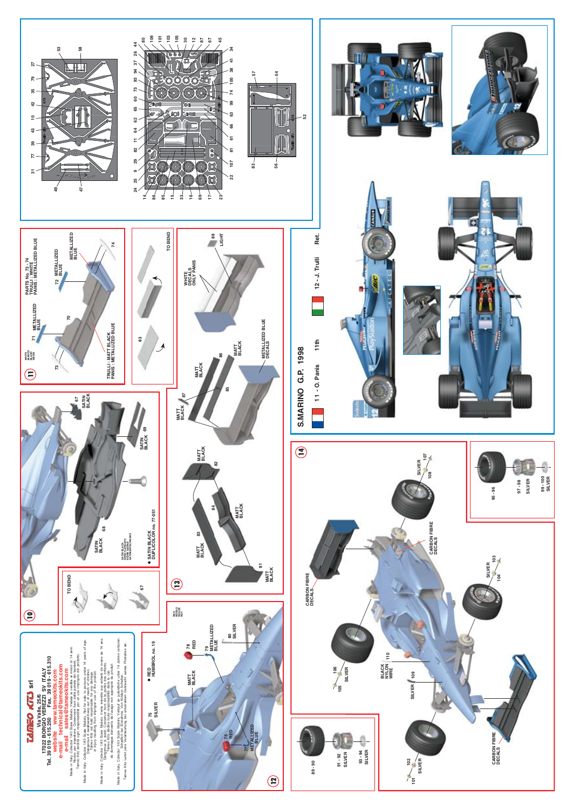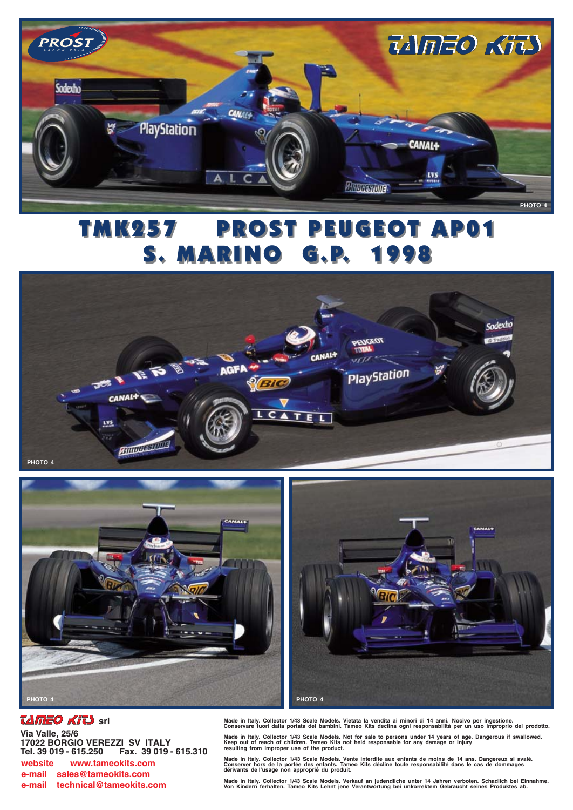

## **PROST PEUGEOT AP01** TMK257 **S. MARINO G.P. 1998**







## *TAMEO KITS* srl

Via Valle, 25/6 17022 BORGIO VEREZZI SV ITALY Fax. 39 019 - 615,310 Tel. 39 019 - 615.250 website www.tameokits.com e-mail sales@tameokits.com e-mail technical@tameokits.com

Made in Italy. Collector 1/43 Scale Models. Vietata la vendita ai minori di 14 anni. Nocivo per ingestione.<br>Conservare fuori dalla portata dei bambini. Tameo Kits declina ogni responsabilità per un uso improprio del prodot

Made in Italy. Collector 1/43 Scale Models. Not for sale to persons under 14 years of age. Dangerous if swallowed.<br>Keep out of reach of children. Tameo Kits not held responsable for any damage or injury<br>resulting from impr

Made in Italy. Collector 1/43 Scale Models. Vente interdite aux enfants de moins de 14 ans. Dangereux si avalé.<br>Conserver hors de la portée des enfants. Tameo Kits décline toute responsabilité dans le cas de dommages<br>dériv

Made in Italy. Collector 1/43 Scale Models. Verkauf an judendliche unter 14 Jahren verboten. Schadlich bei Einnahme.<br>Von Kindern ferhalten. Tameo Kits Lehnt jene Verantwortung bei unkorrektem Gebraucht seines Produktes ab.